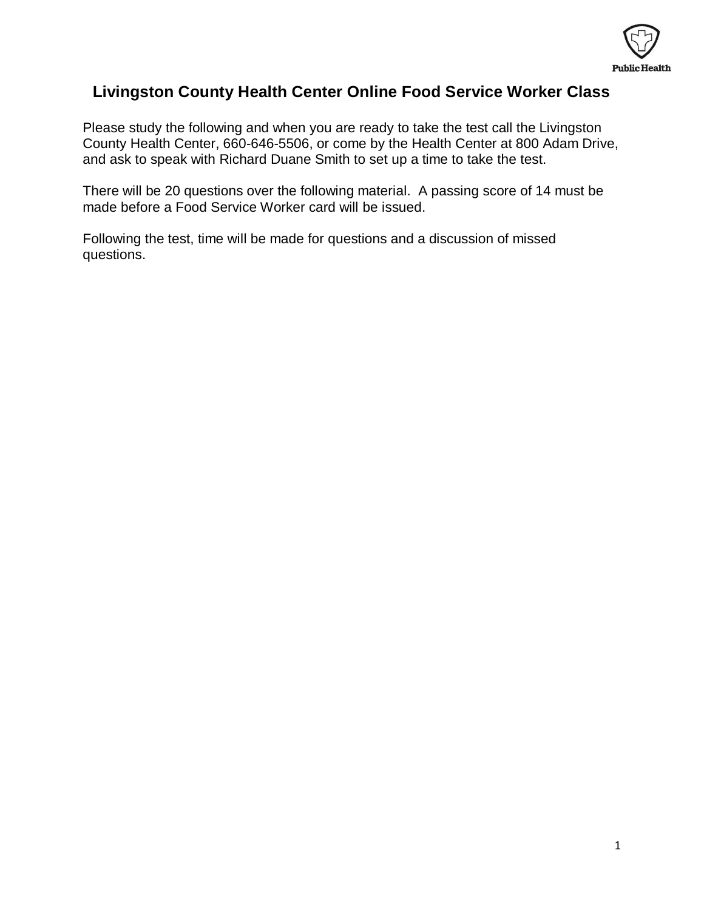

#### **Livingston County Health Center Online Food Service Worker Class**

Please study the following and when you are ready to take the test call the Livingston County Health Center, 660-646-5506, or come by the Health Center at 800 Adam Drive, and ask to speak with Richard Duane Smith to set up a time to take the test.

There will be 20 questions over the following material. A passing score of 14 must be made before a Food Service Worker card will be issued.

Following the test, time will be made for questions and a discussion of missed questions.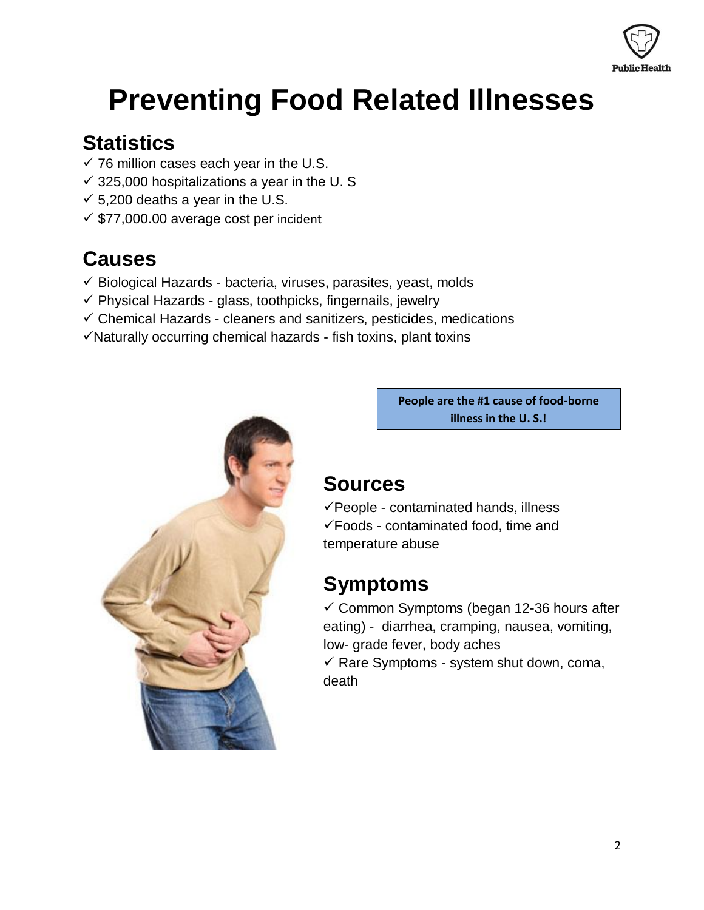

## **Preventing Food Related Illnesses**

### **Statistics**

- $\checkmark$  76 million cases each year in the U.S.
- $\checkmark$  325,000 hospitalizations a year in the U. S
- $\checkmark$  5,200 deaths a year in the U.S.
- $\checkmark$  \$77,000.00 average cost per incident

### **Causes**

- $\checkmark$  Biological Hazards bacteria, viruses, parasites, yeast, molds
- $\checkmark$  Physical Hazards glass, toothpicks, fingernails, jewelry
- $\checkmark$  Chemical Hazards cleaners and sanitizers, pesticides, medications
- $\checkmark$  Naturally occurring chemical hazards fish toxins, plant toxins



**People are the #1 cause of food-borne illness in the U. S.!**

### **Sources**

 $\checkmark$  People - contaminated hands, illness Foods - contaminated food, time and temperature abuse

### **Symptoms**

 $\checkmark$  Common Symptoms (began 12-36 hours after eating) - diarrhea, cramping, nausea, vomiting, low- grade fever, body aches

 $\checkmark$  Rare Symptoms - system shut down, coma, death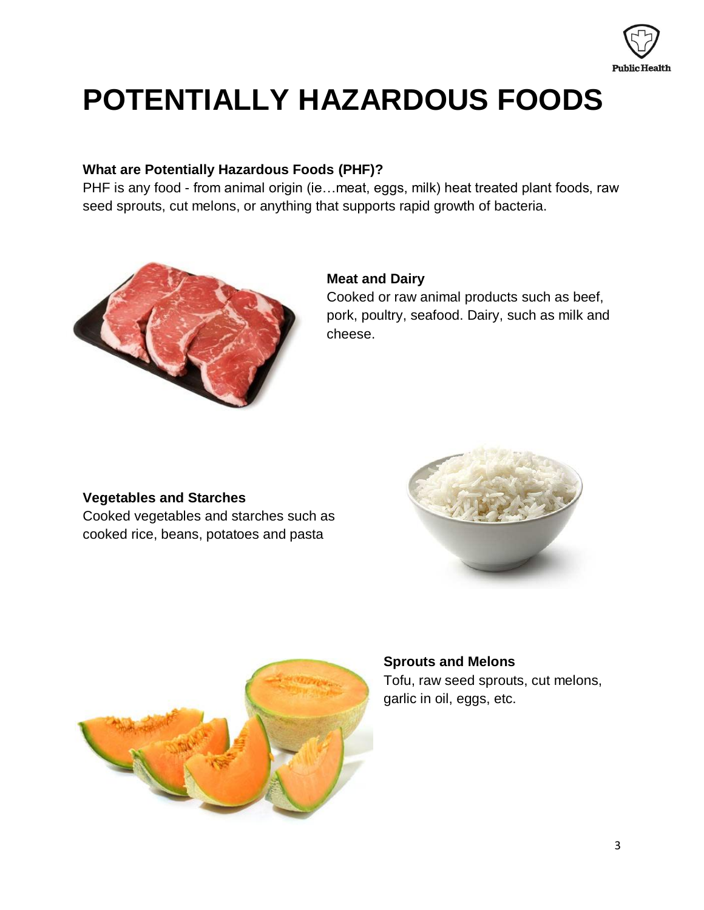

# **POTENTIALLY HAZARDOUS FOODS**

#### **What are Potentially Hazardous Foods (PHF)?**

PHF is any food - from animal origin (ie…meat, eggs, milk) heat treated plant foods, raw seed sprouts, cut melons, or anything that supports rapid growth of bacteria.



#### **Meat and Dairy**

Cooked or raw animal products such as beef, pork, poultry, seafood. Dairy, such as milk and cheese.

#### **Vegetables and Starches**

Cooked vegetables and starches such as cooked rice, beans, potatoes and pasta





### **Sprouts and Melons** Tofu, raw seed sprouts, cut melons, garlic in oil, eggs, etc.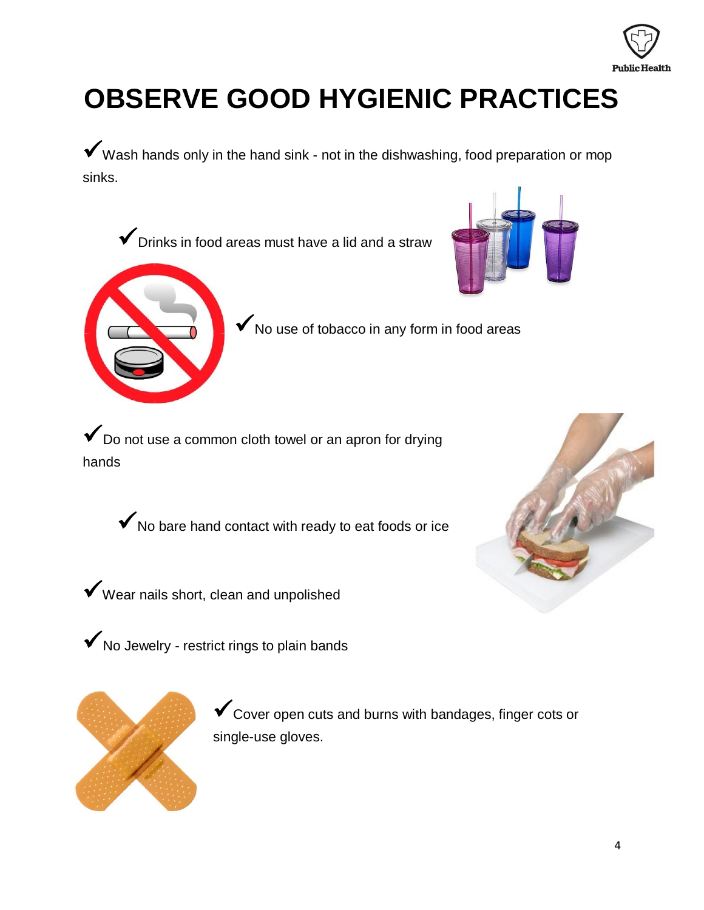

## **OBSERVE GOOD HYGIENIC PRACTICES**

 $\checkmark$  Wash hands only in the hand sink - not in the dishwashing, food preparation or mop sinks.

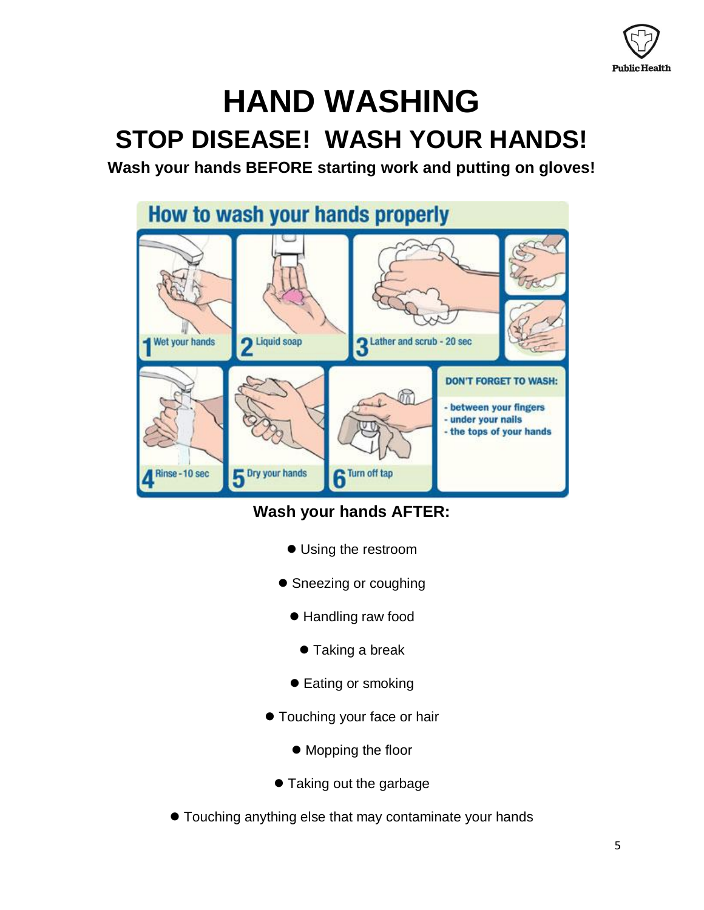

## **HAND WASHING STOP DISEASE! WASH YOUR HANDS!**

**Wash your hands BEFORE starting work and putting on gloves!** 



### **Wash your hands AFTER:**

- Using the restroom
- Sneezing or coughing
	- Handling raw food
		- Taking a break
	- Eating or smoking
- **Touching your face or hair** 
	- $\bullet$  Mopping the floor
	- Taking out the garbage
- Touching anything else that may contaminate your hands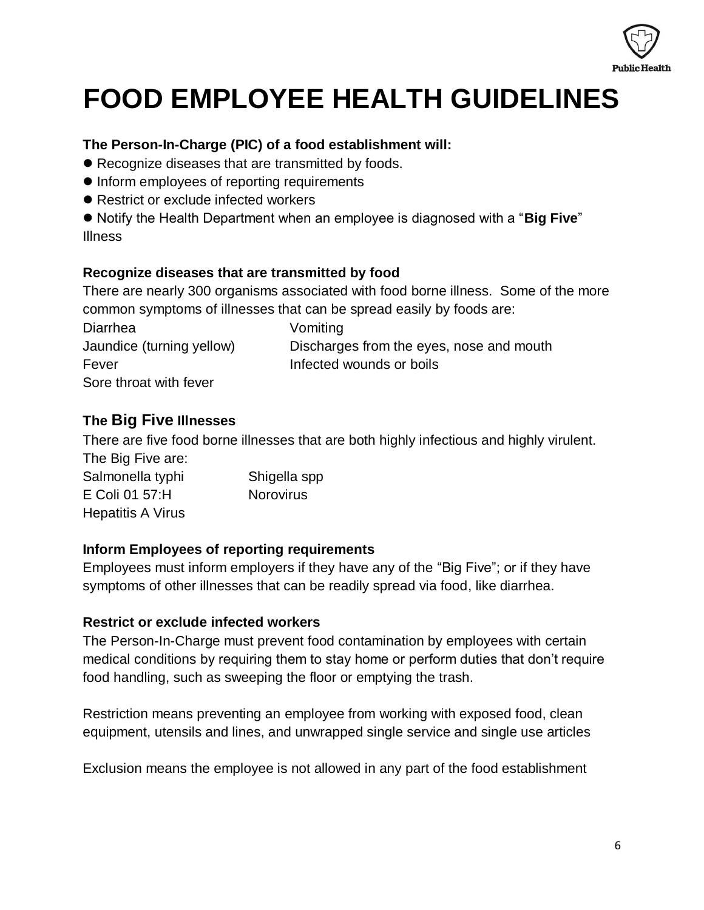

## **FOOD EMPLOYEE HEALTH GUIDELINES**

#### **The Person-In-Charge (PIC) of a food establishment will:**

- Recognize diseases that are transmitted by foods.
- Inform employees of reporting requirements
- Restrict or exclude infected workers

 Notify the Health Department when an employee is diagnosed with a "**Big Five**" Illness

#### **Recognize diseases that are transmitted by food**

There are nearly 300 organisms associated with food borne illness. Some of the more common symptoms of illnesses that can be spread easily by foods are:

Diarrhea Vomiting Fever **Infected wounds or boils** Sore throat with fever

Jaundice (turning yellow) Discharges from the eyes, nose and mouth

#### **The Big Five Illnesses**

There are five food borne illnesses that are both highly infectious and highly virulent. The Big Five are:

| Salmonella typhi         | Shigella spp     |
|--------------------------|------------------|
| E Coli 01 57:H           | <b>Norovirus</b> |
| <b>Hepatitis A Virus</b> |                  |

#### **Inform Employees of reporting requirements**

Employees must inform employers if they have any of the "Big Five"; or if they have symptoms of other illnesses that can be readily spread via food, like diarrhea.

#### **Restrict or exclude infected workers**

The Person-In-Charge must prevent food contamination by employees with certain medical conditions by requiring them to stay home or perform duties that don't require food handling, such as sweeping the floor or emptying the trash.

Restriction means preventing an employee from working with exposed food, clean equipment, utensils and lines, and unwrapped single service and single use articles

Exclusion means the employee is not allowed in any part of the food establishment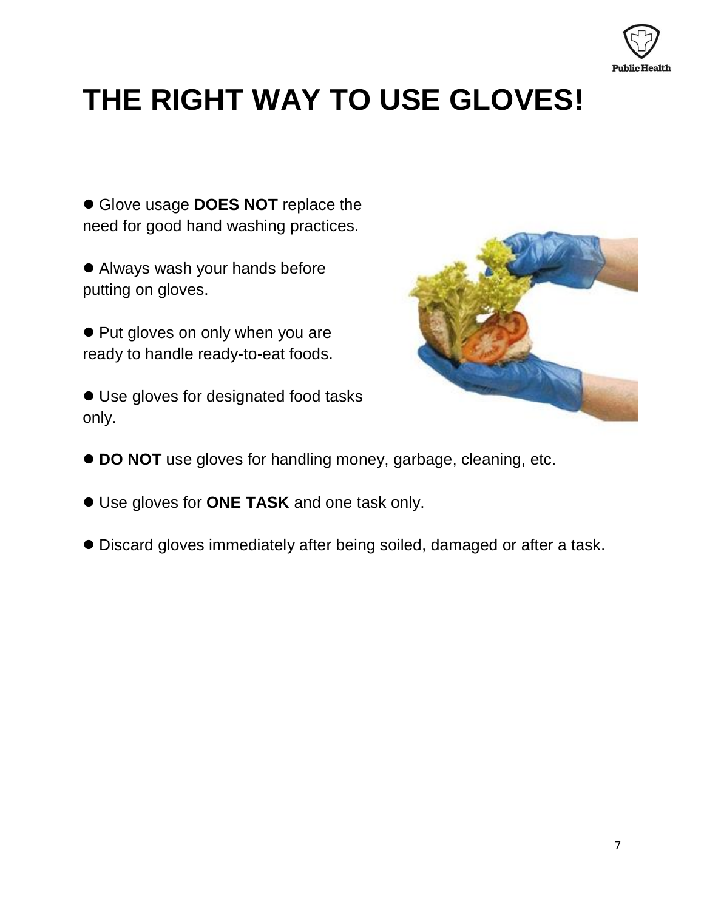

# **THE RIGHT WAY TO USE GLOVES!**

 Glove usage **DOES NOT** replace the need for good hand washing practices.

 Always wash your hands before putting on gloves.

• Put gloves on only when you are ready to handle ready-to-eat foods.

 Use gloves for designated food tasks only.



- **DO NOT** use gloves for handling money, garbage, cleaning, etc.
- Use gloves for **ONE TASK** and one task only.
- Discard gloves immediately after being soiled, damaged or after a task.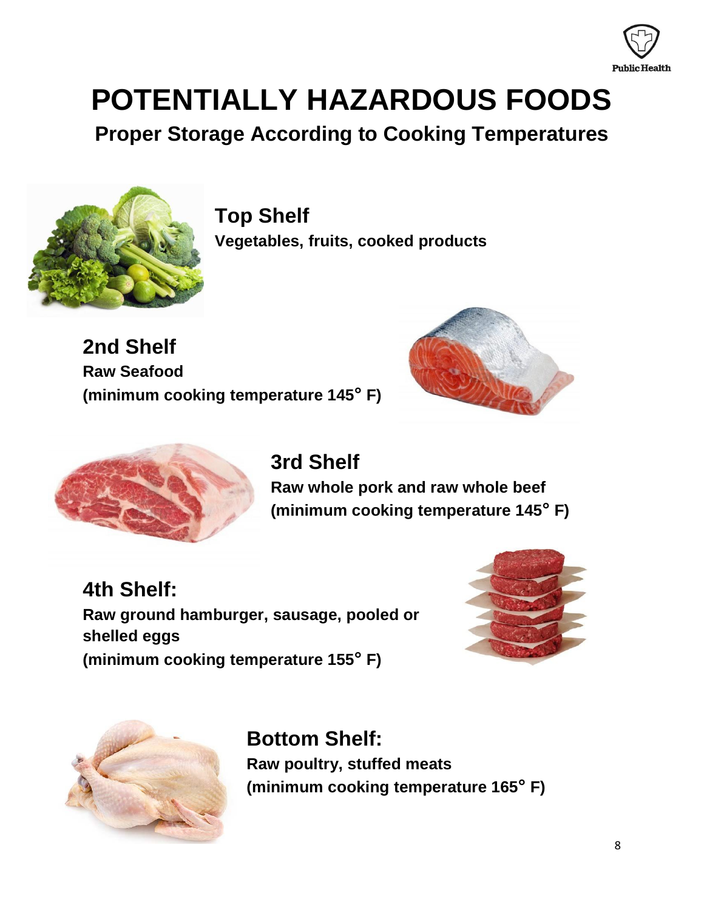

# **POTENTIALLY HAZARDOUS FOODS**

**Proper Storage According to Cooking Temperatures**



**Top Shelf Vegetables, fruits, cooked products**

**2nd Shelf Raw Seafood (minimum cooking temperature 145° F)**





**3rd Shelf Raw whole pork and raw whole beef (minimum cooking temperature 145° F)**

**4th Shelf: Raw ground hamburger, sausage, pooled or shelled eggs (minimum cooking temperature 155° F)**





**Bottom Shelf: Raw poultry, stuffed meats (minimum cooking temperature 165° F)**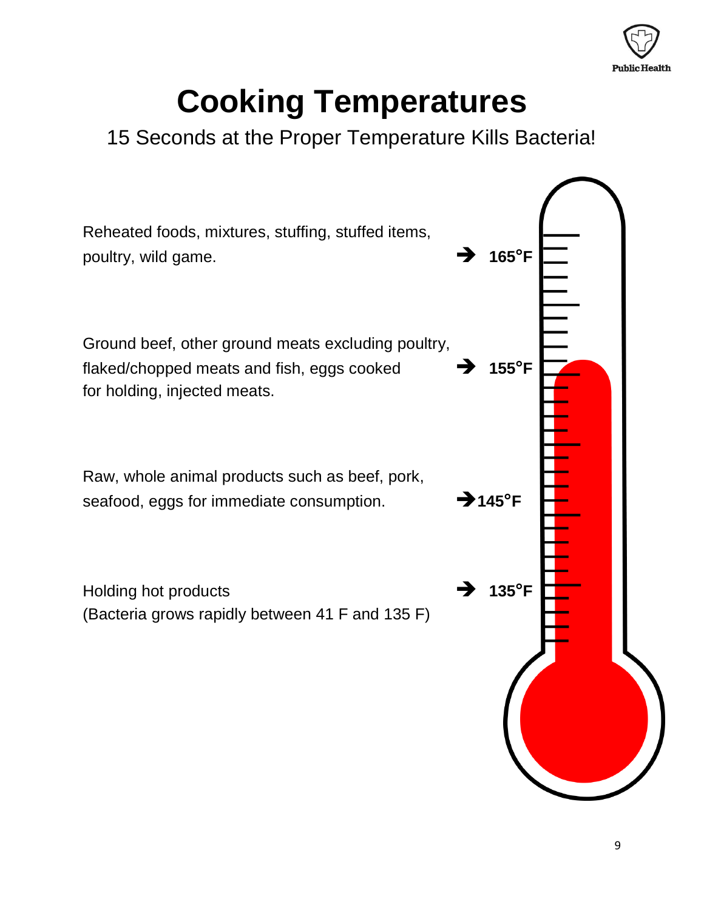

# **Cooking Temperatures**

### 15 Seconds at the Proper Temperature Kills Bacteria!

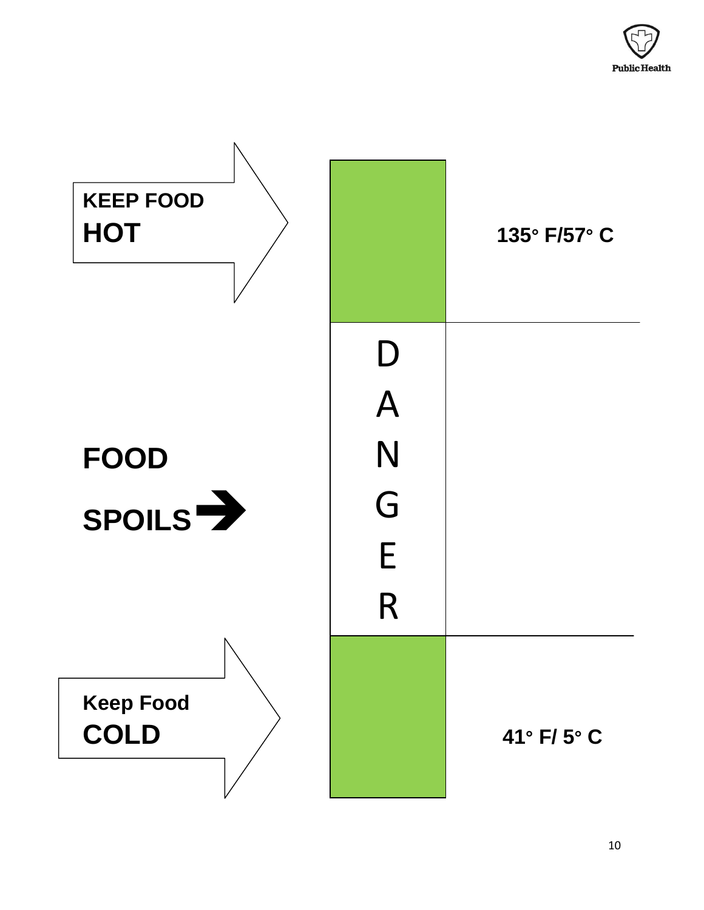

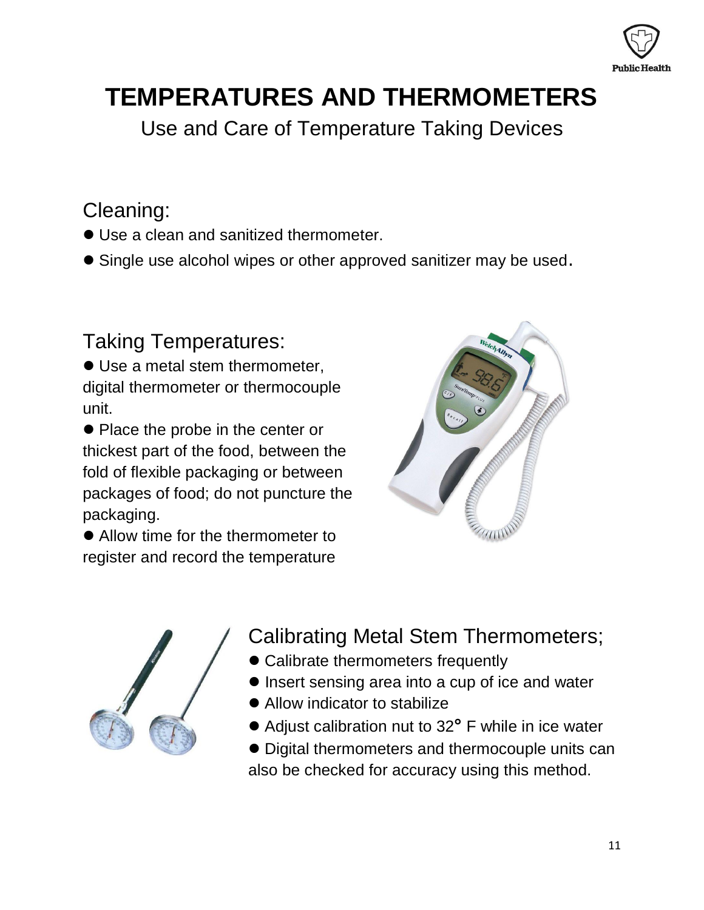

## **TEMPERATURES AND THERMOMETERS**

Use and Care of Temperature Taking Devices

### Cleaning:

- Use a clean and sanitized thermometer.
- Single use alcohol wipes or other approved sanitizer may be used.

### Taking Temperatures:

 Use a metal stem thermometer, digital thermometer or thermocouple unit.

• Place the probe in the center or thickest part of the food, between the fold of flexible packaging or between packages of food; do not puncture the packaging.

 Allow time for the thermometer to register and record the temperature





- Calibrating Metal Stem Thermometers;
	- Calibrate thermometers frequently
	- Insert sensing area into a cup of ice and water
	- Allow indicator to stabilize
	- Adjust calibration nut to 32**°** F while in ice water
	- Digital thermometers and thermocouple units can also be checked for accuracy using this method.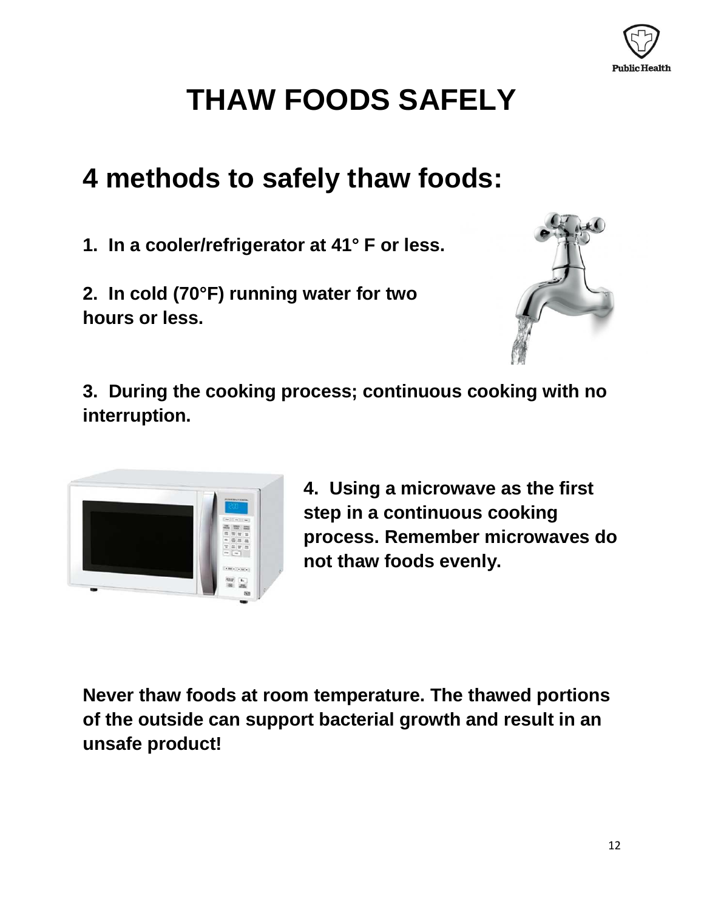

# **THAW FOODS SAFELY**

### **4 methods to safely thaw foods:**

**1. In a cooler/refrigerator at 41° F or less.**

**2. In cold (70°F) running water for two hours or less.**



**3. During the cooking process; continuous cooking with no interruption.**



**4. Using a microwave as the first step in a continuous cooking process. Remember microwaves do not thaw foods evenly.** 

**Never thaw foods at room temperature. The thawed portions of the outside can support bacterial growth and result in an unsafe product!**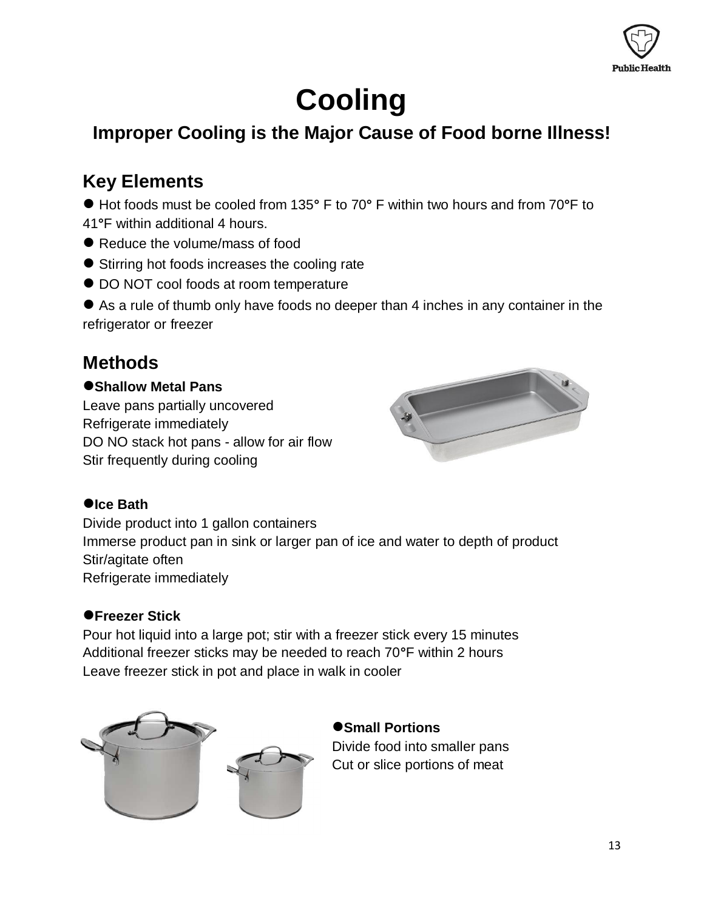

# **Cooling**

### **Improper Cooling is the Major Cause of Food borne Illness!**

### **Key Elements**

 Hot foods must be cooled from 135**°** F to 70**°** F within two hours and from 70**°**F to 41**°**F within additional 4 hours.

- Reduce the volume/mass of food
- Stirring hot foods increases the cooling rate
- $\bullet$  DO NOT cool foods at room temperature
- As a rule of thumb only have foods no deeper than 4 inches in any container in the refrigerator or freezer

### **Methods**

#### **Shallow Metal Pans**

Leave pans partially uncovered Refrigerate immediately DO NO stack hot pans - allow for air flow Stir frequently during cooling



#### **Ice Bath**

Divide product into 1 gallon containers Immerse product pan in sink or larger pan of ice and water to depth of product Stir/agitate often Refrigerate immediately

#### **Freezer Stick**

Pour hot liquid into a large pot; stir with a freezer stick every 15 minutes Additional freezer sticks may be needed to reach 70**°**F within 2 hours Leave freezer stick in pot and place in walk in cooler



### $\bullet$  **Small Portions**

Divide food into smaller pans Cut or slice portions of meat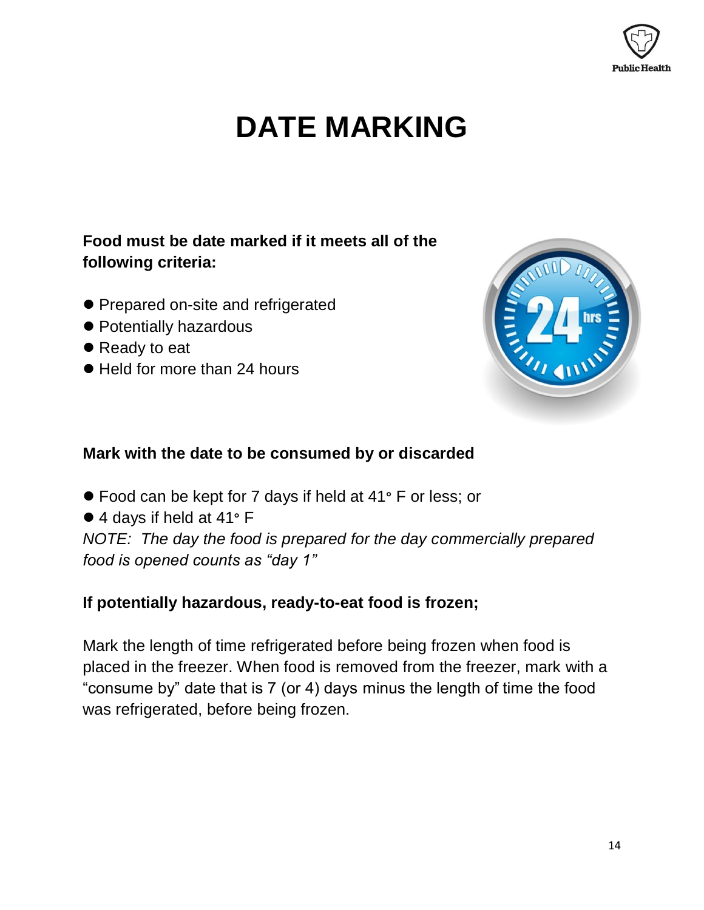

## **DATE MARKING**

### **Food must be date marked if it meets all of the following criteria:**

- **Prepared on-site and refrigerated**
- Potentially hazardous
- Ready to eat
- Held for more than 24 hours



#### **Mark with the date to be consumed by or discarded**

- Food can be kept for 7 days if held at 41**°** F or less; or
- 4 days if held at 41**°** F

*NOTE: The day the food is prepared for the day commercially prepared food is opened counts as "day 1"*

### **If potentially hazardous, ready-to-eat food is frozen;**

Mark the length of time refrigerated before being frozen when food is placed in the freezer. When food is removed from the freezer, mark with a "consume by" date that is 7 (or 4) days minus the length of time the food was refrigerated, before being frozen.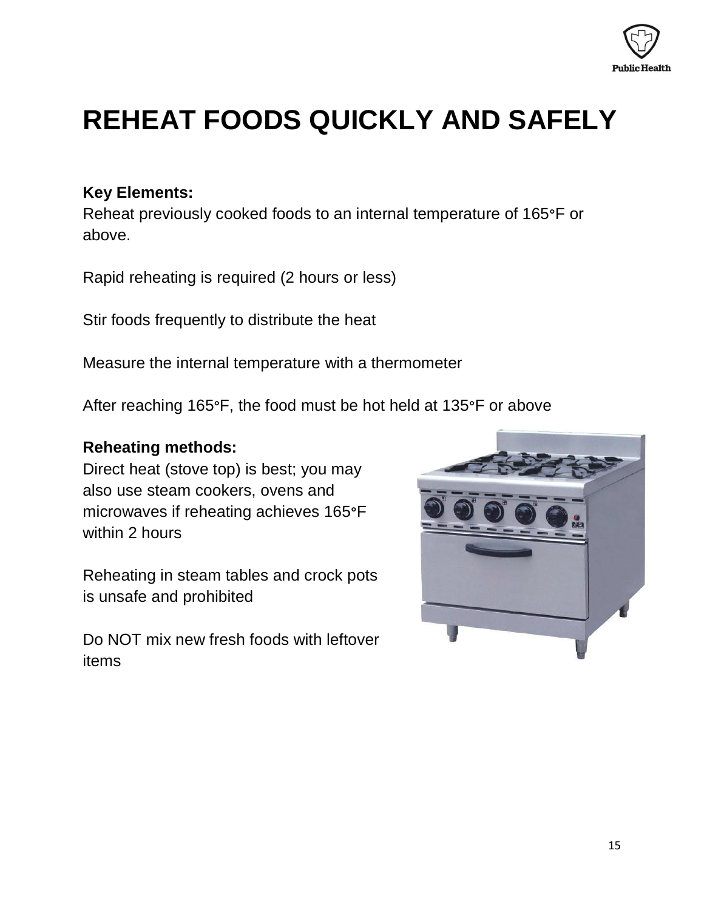

## **REHEAT FOODS QUICKLY AND SAFELY**

#### **Key Elements:**

Reheat previously cooked foods to an internal temperature of 165**°**F or above.

Rapid reheating is required (2 hours or less)

Stir foods frequently to distribute the heat

Measure the internal temperature with a thermometer

After reaching 165**°**F, the food must be hot held at 135**°**F or above

#### **Reheating methods:**

Direct heat (stove top) is best; you may also use steam cookers, ovens and microwaves if reheating achieves 165**°**F within 2 hours

Reheating in steam tables and crock pots is unsafe and prohibited

Do NOT mix new fresh foods with leftover items

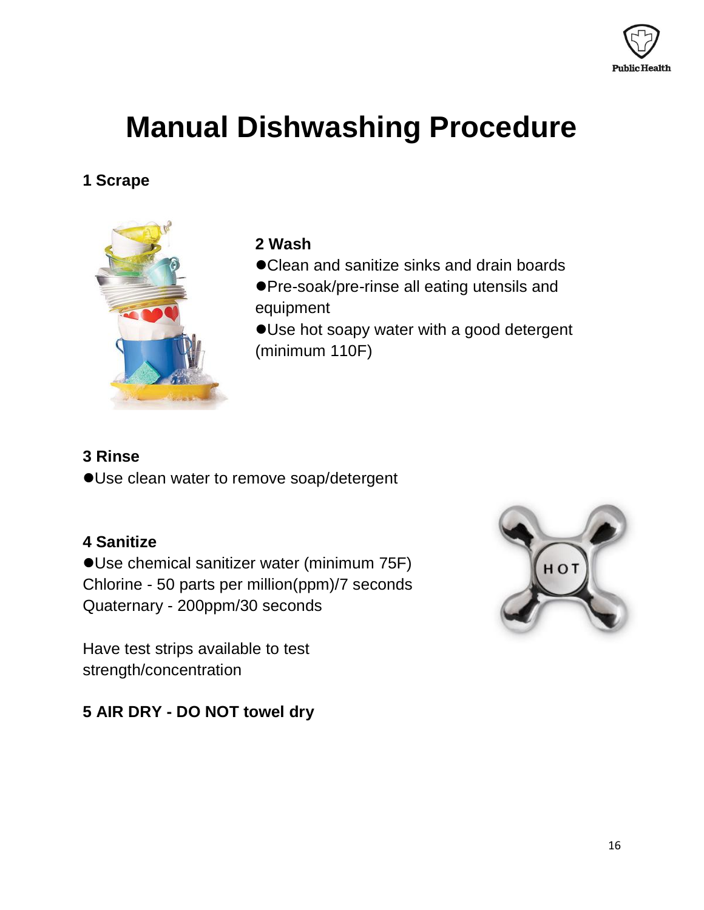

## **Manual Dishwashing Procedure**

### **1 Scrape**



### **2 Wash**

- Clean and sanitize sinks and drain boards
- Pre-soak/pre-rinse all eating utensils and equipment
- Use hot soapy water with a good detergent (minimum 110F)

### **3 Rinse**

Use clean water to remove soap/detergent

### **4 Sanitize**

Use chemical sanitizer water (minimum 75F) Chlorine - 50 parts per million(ppm)/7 seconds Quaternary - 200ppm/30 seconds

Have test strips available to test strength/concentration

### **5 AIR DRY - DO NOT towel dry**